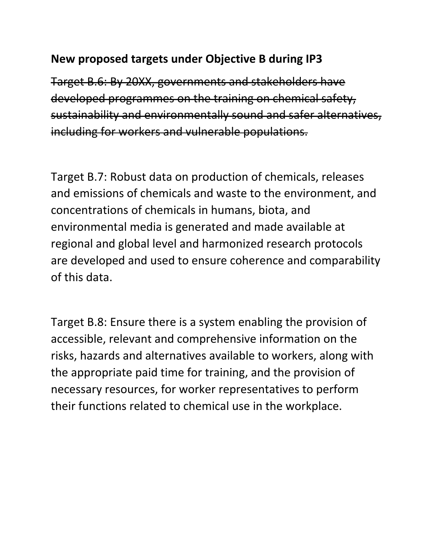## **New proposed targets under Objective B during IP3**

Target B.6: By 20XX, governments and stakeholders have developed programmes on the training on chemical safety, sustainability and environmentally sound and safer alternatives, including for workers and vulnerable populations.

Target B.7: Robust data on production of chemicals, releases and emissions of chemicals and waste to the environment, and concentrations of chemicals in humans, biota, and environmental media is generated and made available at regional and global level and harmonized research protocols are developed and used to ensure coherence and comparability of this data.

Target B.8: Ensure there is a system enabling the provision of accessible, relevant and comprehensive information on the risks, hazards and alternatives available to workers, along with the appropriate paid time for training, and the provision of necessary resources, for worker representatives to perform their functions related to chemical use in the workplace.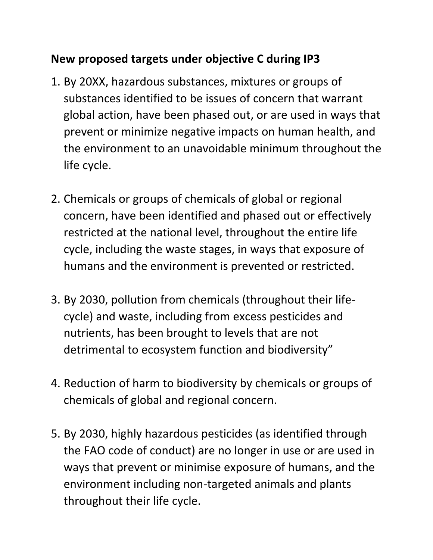## **New proposed targets under objective C during IP3**

- 1. By 20XX, hazardous substances, mixtures or groups of substances identified to be issues of concern that warrant global action, have been phased out, or are used in ways that prevent or minimize negative impacts on human health, and the environment to an unavoidable minimum throughout the life cycle.
- 2. Chemicals or groups of chemicals of global or regional concern, have been identified and phased out or effectively restricted at the national level, throughout the entire life cycle, including the waste stages, in ways that exposure of humans and the environment is prevented or restricted.
- 3. By 2030, pollution from chemicals (throughout their lifecycle) and waste, including from excess pesticides and nutrients, has been brought to levels that are not detrimental to ecosystem function and biodiversity"
- 4. Reduction of harm to biodiversity by chemicals or groups of chemicals of global and regional concern.
- 5. By 2030, highly hazardous pesticides (as identified through the FAO code of conduct) are no longer in use or are used in ways that prevent or minimise exposure of humans, and the environment including non-targeted animals and plants throughout their life cycle.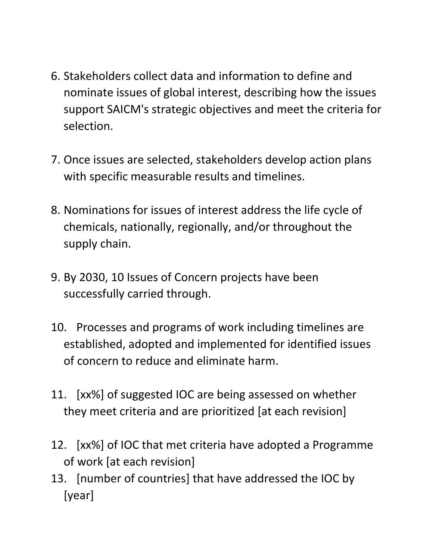- 6. Stakeholders collect data and information to define and nominate issues of global interest, describing how the issues support SAICM's strategic objectives and meet the criteria for selection.
- 7. Once issues are selected, stakeholders develop action plans with specific measurable results and timelines.
- 8. Nominations for issues of interest address the life cycle of chemicals, nationally, regionally, and/or throughout the supply chain.
- 9. By 2030, 10 Issues of Concern projects have been successfully carried through.
- 10. Processes and programs of work including timelines are established, adopted and implemented for identified issues of concern to reduce and eliminate harm.
- 11. [xx%] of suggested IOC are being assessed on whether they meet criteria and are prioritized [at each revision]
- 12. [xx%] of IOC that met criteria have adopted a Programme of work [at each revision]
- 13. [number of countries] that have addressed the IOC by [year]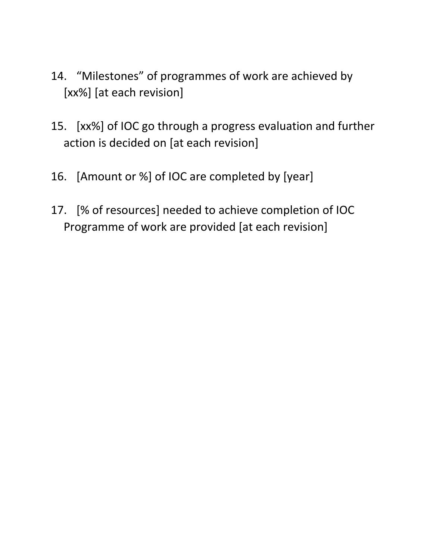- 14. "Milestones" of programmes of work are achieved by [xx%] [at each revision]
- 15. [xx%] of IOC go through a progress evaluation and further action is decided on [at each revision]
- 16. [Amount or %] of IOC are completed by [year]
- 17. [% of resources] needed to achieve completion of IOC Programme of work are provided [at each revision]